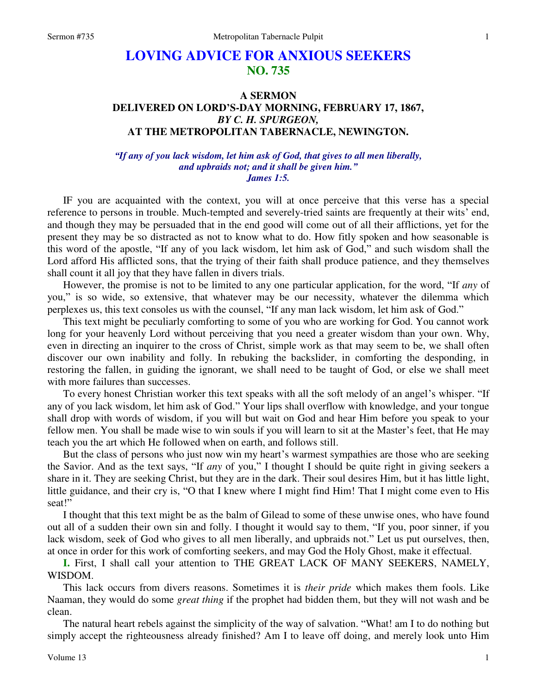# **LOVING ADVICE FOR ANXIOUS SEEKERS NO. 735**

## **A SERMON DELIVERED ON LORD'S-DAY MORNING, FEBRUARY 17, 1867,**  *BY C. H. SPURGEON,*  **AT THE METROPOLITAN TABERNACLE, NEWINGTON.**

### *"If any of you lack wisdom, let him ask of God, that gives to all men liberally, and upbraids not; and it shall be given him." James 1:5.*

IF you are acquainted with the context, you will at once perceive that this verse has a special reference to persons in trouble. Much-tempted and severely-tried saints are frequently at their wits' end, and though they may be persuaded that in the end good will come out of all their afflictions, yet for the present they may be so distracted as not to know what to do. How fitly spoken and how seasonable is this word of the apostle, "If any of you lack wisdom, let him ask of God," and such wisdom shall the Lord afford His afflicted sons, that the trying of their faith shall produce patience, and they themselves shall count it all joy that they have fallen in divers trials.

 However, the promise is not to be limited to any one particular application, for the word, "If *any* of you," is so wide, so extensive, that whatever may be our necessity, whatever the dilemma which perplexes us, this text consoles us with the counsel, "If any man lack wisdom, let him ask of God."

 This text might be peculiarly comforting to some of you who are working for God. You cannot work long for your heavenly Lord without perceiving that you need a greater wisdom than your own. Why, even in directing an inquirer to the cross of Christ, simple work as that may seem to be, we shall often discover our own inability and folly. In rebuking the backslider, in comforting the desponding, in restoring the fallen, in guiding the ignorant, we shall need to be taught of God, or else we shall meet with more failures than successes.

 To every honest Christian worker this text speaks with all the soft melody of an angel's whisper. "If any of you lack wisdom, let him ask of God." Your lips shall overflow with knowledge, and your tongue shall drop with words of wisdom, if you will but wait on God and hear Him before you speak to your fellow men. You shall be made wise to win souls if you will learn to sit at the Master's feet, that He may teach you the art which He followed when on earth, and follows still.

 But the class of persons who just now win my heart's warmest sympathies are those who are seeking the Savior. And as the text says, "If *any* of you," I thought I should be quite right in giving seekers a share in it. They are seeking Christ, but they are in the dark. Their soul desires Him, but it has little light, little guidance, and their cry is, "O that I knew where I might find Him! That I might come even to His seat!"

 I thought that this text might be as the balm of Gilead to some of these unwise ones, who have found out all of a sudden their own sin and folly. I thought it would say to them, "If you, poor sinner, if you lack wisdom, seek of God who gives to all men liberally, and upbraids not." Let us put ourselves, then, at once in order for this work of comforting seekers, and may God the Holy Ghost, make it effectual.

**I.** First, I shall call your attention to THE GREAT LACK OF MANY SEEKERS, NAMELY, WISDOM.

 This lack occurs from divers reasons. Sometimes it is *their pride* which makes them fools. Like Naaman, they would do some *great thing* if the prophet had bidden them, but they will not wash and be clean.

 The natural heart rebels against the simplicity of the way of salvation. "What! am I to do nothing but simply accept the righteousness already finished? Am I to leave off doing, and merely look unto Him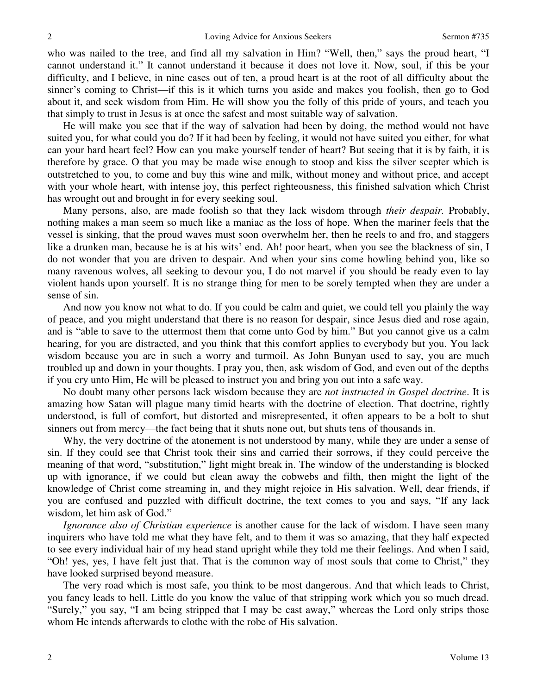who was nailed to the tree, and find all my salvation in Him? "Well, then," says the proud heart, "I cannot understand it." It cannot understand it because it does not love it. Now, soul, if this be your difficulty, and I believe, in nine cases out of ten, a proud heart is at the root of all difficulty about the sinner's coming to Christ—if this is it which turns you aside and makes you foolish, then go to God about it, and seek wisdom from Him. He will show you the folly of this pride of yours, and teach you that simply to trust in Jesus is at once the safest and most suitable way of salvation.

 He will make you see that if the way of salvation had been by doing, the method would not have suited you, for what could you do? If it had been by feeling, it would not have suited you either, for what can your hard heart feel? How can you make yourself tender of heart? But seeing that it is by faith, it is therefore by grace. O that you may be made wise enough to stoop and kiss the silver scepter which is outstretched to you, to come and buy this wine and milk, without money and without price, and accept with your whole heart, with intense joy, this perfect righteousness, this finished salvation which Christ has wrought out and brought in for every seeking soul.

 Many persons, also, are made foolish so that they lack wisdom through *their despair.* Probably, nothing makes a man seem so much like a maniac as the loss of hope. When the mariner feels that the vessel is sinking, that the proud waves must soon overwhelm her, then he reels to and fro, and staggers like a drunken man, because he is at his wits' end. Ah! poor heart, when you see the blackness of sin, I do not wonder that you are driven to despair. And when your sins come howling behind you, like so many ravenous wolves, all seeking to devour you, I do not marvel if you should be ready even to lay violent hands upon yourself. It is no strange thing for men to be sorely tempted when they are under a sense of sin.

 And now you know not what to do. If you could be calm and quiet, we could tell you plainly the way of peace, and you might understand that there is no reason for despair, since Jesus died and rose again, and is "able to save to the uttermost them that come unto God by him." But you cannot give us a calm hearing, for you are distracted, and you think that this comfort applies to everybody but you. You lack wisdom because you are in such a worry and turmoil. As John Bunyan used to say, you are much troubled up and down in your thoughts. I pray you, then, ask wisdom of God, and even out of the depths if you cry unto Him, He will be pleased to instruct you and bring you out into a safe way.

 No doubt many other persons lack wisdom because they are *not instructed in Gospel doctrine*. It is amazing how Satan will plague many timid hearts with the doctrine of election. That doctrine, rightly understood, is full of comfort, but distorted and misrepresented, it often appears to be a bolt to shut sinners out from mercy—the fact being that it shuts none out, but shuts tens of thousands in.

 Why, the very doctrine of the atonement is not understood by many, while they are under a sense of sin. If they could see that Christ took their sins and carried their sorrows, if they could perceive the meaning of that word, "substitution," light might break in. The window of the understanding is blocked up with ignorance, if we could but clean away the cobwebs and filth, then might the light of the knowledge of Christ come streaming in, and they might rejoice in His salvation. Well, dear friends, if you are confused and puzzled with difficult doctrine, the text comes to you and says, "If any lack wisdom, let him ask of God."

*Ignorance also of Christian experience* is another cause for the lack of wisdom. I have seen many inquirers who have told me what they have felt, and to them it was so amazing, that they half expected to see every individual hair of my head stand upright while they told me their feelings. And when I said, "Oh! yes, yes, I have felt just that. That is the common way of most souls that come to Christ," they have looked surprised beyond measure.

 The very road which is most safe, you think to be most dangerous. And that which leads to Christ, you fancy leads to hell. Little do you know the value of that stripping work which you so much dread. "Surely," you say, "I am being stripped that I may be cast away," whereas the Lord only strips those whom He intends afterwards to clothe with the robe of His salvation.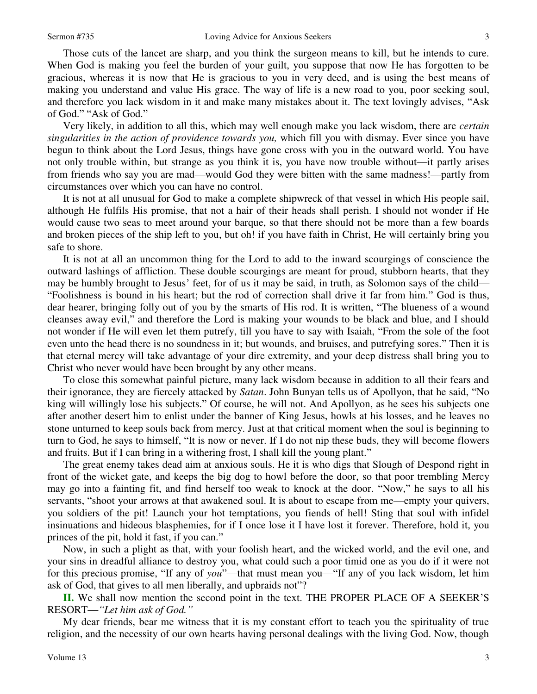Those cuts of the lancet are sharp, and you think the surgeon means to kill, but he intends to cure. When God is making you feel the burden of your guilt, you suppose that now He has forgotten to be gracious, whereas it is now that He is gracious to you in very deed, and is using the best means of making you understand and value His grace. The way of life is a new road to you, poor seeking soul, and therefore you lack wisdom in it and make many mistakes about it. The text lovingly advises, "Ask of God." "Ask of God."

 Very likely, in addition to all this, which may well enough make you lack wisdom, there are *certain singularities in the action of providence towards you,* which fill you with dismay. Ever since you have begun to think about the Lord Jesus, things have gone cross with you in the outward world. You have not only trouble within, but strange as you think it is, you have now trouble without—it partly arises from friends who say you are mad—would God they were bitten with the same madness!—partly from circumstances over which you can have no control.

 It is not at all unusual for God to make a complete shipwreck of that vessel in which His people sail, although He fulfils His promise, that not a hair of their heads shall perish. I should not wonder if He would cause two seas to meet around your barque, so that there should not be more than a few boards and broken pieces of the ship left to you, but oh! if you have faith in Christ, He will certainly bring you safe to shore.

 It is not at all an uncommon thing for the Lord to add to the inward scourgings of conscience the outward lashings of affliction. These double scourgings are meant for proud, stubborn hearts, that they may be humbly brought to Jesus' feet, for of us it may be said, in truth, as Solomon says of the child— "Foolishness is bound in his heart; but the rod of correction shall drive it far from him." God is thus, dear hearer, bringing folly out of you by the smarts of His rod. It is written, "The blueness of a wound cleanses away evil," and therefore the Lord is making your wounds to be black and blue, and I should not wonder if He will even let them putrefy, till you have to say with Isaiah, "From the sole of the foot even unto the head there is no soundness in it; but wounds, and bruises, and putrefying sores." Then it is that eternal mercy will take advantage of your dire extremity, and your deep distress shall bring you to Christ who never would have been brought by any other means.

 To close this somewhat painful picture, many lack wisdom because in addition to all their fears and their ignorance, they are fiercely attacked by *Satan*. John Bunyan tells us of Apollyon, that he said, "No king will willingly lose his subjects." Of course, he will not. And Apollyon, as he sees his subjects one after another desert him to enlist under the banner of King Jesus, howls at his losses, and he leaves no stone unturned to keep souls back from mercy. Just at that critical moment when the soul is beginning to turn to God, he says to himself, "It is now or never. If I do not nip these buds, they will become flowers and fruits. But if I can bring in a withering frost, I shall kill the young plant."

 The great enemy takes dead aim at anxious souls. He it is who digs that Slough of Despond right in front of the wicket gate, and keeps the big dog to howl before the door, so that poor trembling Mercy may go into a fainting fit, and find herself too weak to knock at the door. "Now," he says to all his servants, "shoot your arrows at that awakened soul. It is about to escape from me—empty your quivers, you soldiers of the pit! Launch your hot temptations, you fiends of hell! Sting that soul with infidel insinuations and hideous blasphemies, for if I once lose it I have lost it forever. Therefore, hold it, you princes of the pit, hold it fast, if you can."

 Now, in such a plight as that, with your foolish heart, and the wicked world, and the evil one, and your sins in dreadful alliance to destroy you, what could such a poor timid one as you do if it were not for this precious promise, "If any of *you*"—that must mean you—"If any of you lack wisdom, let him ask of God, that gives to all men liberally, and upbraids not"?

**II.** We shall now mention the second point in the text. THE PROPER PLACE OF A SEEKER'S RESORT—*"Let him ask of God."*

 My dear friends, bear me witness that it is my constant effort to teach you the spirituality of true religion, and the necessity of our own hearts having personal dealings with the living God. Now, though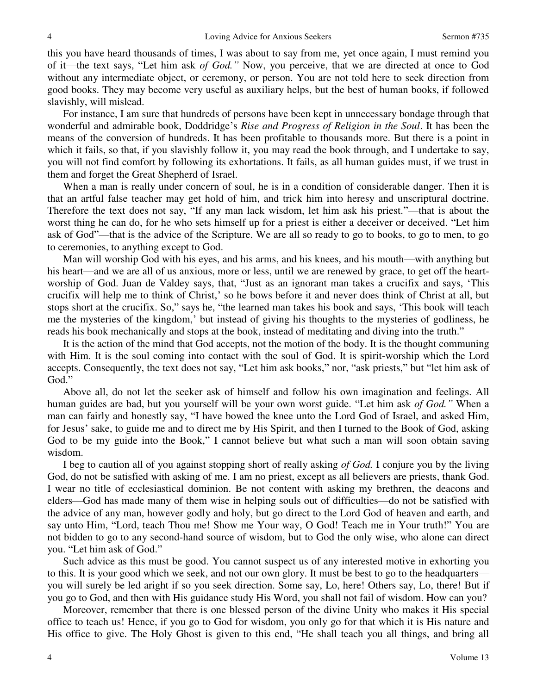this you have heard thousands of times, I was about to say from me, yet once again, I must remind you of it—the text says, "Let him ask *of God."* Now, you perceive, that we are directed at once to God without any intermediate object, or ceremony, or person. You are not told here to seek direction from good books. They may become very useful as auxiliary helps, but the best of human books, if followed slavishly, will mislead.

 For instance, I am sure that hundreds of persons have been kept in unnecessary bondage through that wonderful and admirable book, Doddridge's *Rise and Progress of Religion in the Soul*. It has been the means of the conversion of hundreds. It has been profitable to thousands more. But there is a point in which it fails, so that, if you slavishly follow it, you may read the book through, and I undertake to say, you will not find comfort by following its exhortations. It fails, as all human guides must, if we trust in them and forget the Great Shepherd of Israel.

 When a man is really under concern of soul, he is in a condition of considerable danger. Then it is that an artful false teacher may get hold of him, and trick him into heresy and unscriptural doctrine. Therefore the text does not say, "If any man lack wisdom, let him ask his priest."—that is about the worst thing he can do, for he who sets himself up for a priest is either a deceiver or deceived. "Let him ask of God"—that is the advice of the Scripture. We are all so ready to go to books, to go to men, to go to ceremonies, to anything except to God.

 Man will worship God with his eyes, and his arms, and his knees, and his mouth—with anything but his heart—and we are all of us anxious, more or less, until we are renewed by grace, to get off the heartworship of God. Juan de Valdey says, that, "Just as an ignorant man takes a crucifix and says, 'This crucifix will help me to think of Christ,' so he bows before it and never does think of Christ at all, but stops short at the crucifix. So," says he, "the learned man takes his book and says, 'This book will teach me the mysteries of the kingdom,' but instead of giving his thoughts to the mysteries of godliness, he reads his book mechanically and stops at the book, instead of meditating and diving into the truth."

 It is the action of the mind that God accepts, not the motion of the body. It is the thought communing with Him. It is the soul coming into contact with the soul of God. It is spirit-worship which the Lord accepts. Consequently, the text does not say, "Let him ask books," nor, "ask priests," but "let him ask of God."

Above all, do not let the seeker ask of himself and follow his own imagination and feelings. All human guides are bad, but you yourself will be your own worst guide. "Let him ask *of God."* When a man can fairly and honestly say, "I have bowed the knee unto the Lord God of Israel, and asked Him, for Jesus' sake, to guide me and to direct me by His Spirit, and then I turned to the Book of God, asking God to be my guide into the Book," I cannot believe but what such a man will soon obtain saving wisdom.

 I beg to caution all of you against stopping short of really asking *of God.* I conjure you by the living God, do not be satisfied with asking of me. I am no priest, except as all believers are priests, thank God. I wear no title of ecclesiastical dominion. Be not content with asking my brethren, the deacons and elders—God has made many of them wise in helping souls out of difficulties—do not be satisfied with the advice of any man, however godly and holy, but go direct to the Lord God of heaven and earth, and say unto Him, "Lord, teach Thou me! Show me Your way, O God! Teach me in Your truth!" You are not bidden to go to any second-hand source of wisdom, but to God the only wise, who alone can direct you. "Let him ask of God."

 Such advice as this must be good. You cannot suspect us of any interested motive in exhorting you to this. It is your good which we seek, and not our own glory. It must be best to go to the headquarters you will surely be led aright if so you seek direction. Some say, Lo, here! Others say, Lo, there! But if you go to God, and then with His guidance study His Word, you shall not fail of wisdom. How can you?

 Moreover, remember that there is one blessed person of the divine Unity who makes it His special office to teach us! Hence, if you go to God for wisdom, you only go for that which it is His nature and His office to give. The Holy Ghost is given to this end, "He shall teach you all things, and bring all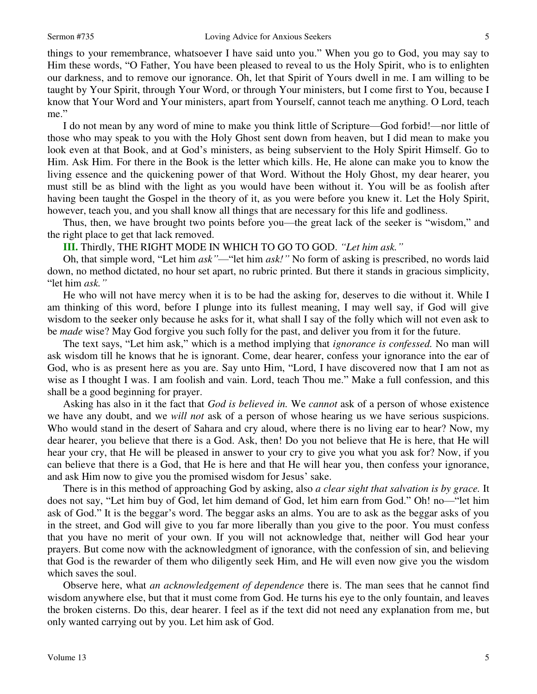things to your remembrance, whatsoever I have said unto you." When you go to God, you may say to Him these words, "O Father, You have been pleased to reveal to us the Holy Spirit, who is to enlighten our darkness, and to remove our ignorance. Oh, let that Spirit of Yours dwell in me. I am willing to be taught by Your Spirit, through Your Word, or through Your ministers, but I come first to You, because I know that Your Word and Your ministers, apart from Yourself, cannot teach me anything. O Lord, teach me."

 I do not mean by any word of mine to make you think little of Scripture—God forbid!—nor little of those who may speak to you with the Holy Ghost sent down from heaven, but I did mean to make you look even at that Book, and at God's ministers, as being subservient to the Holy Spirit Himself. Go to Him. Ask Him. For there in the Book is the letter which kills. He, He alone can make you to know the living essence and the quickening power of that Word. Without the Holy Ghost, my dear hearer, you must still be as blind with the light as you would have been without it. You will be as foolish after having been taught the Gospel in the theory of it, as you were before you knew it. Let the Holy Spirit, however, teach you, and you shall know all things that are necessary for this life and godliness.

 Thus, then, we have brought two points before you—the great lack of the seeker is "wisdom," and the right place to get that lack removed.

**III.** Thirdly, THE RIGHT MODE IN WHICH TO GO TO GOD. *"Let him ask."*

 Oh, that simple word, "Let him *ask"*—"let him *ask!"* No form of asking is prescribed, no words laid down, no method dictated, no hour set apart, no rubric printed. But there it stands in gracious simplicity, "let him *ask."*

 He who will not have mercy when it is to be had the asking for, deserves to die without it. While I am thinking of this word, before I plunge into its fullest meaning, I may well say, if God will give wisdom to the seeker only because he asks for it, what shall I say of the folly which will not even ask to be *made* wise? May God forgive you such folly for the past, and deliver you from it for the future.

 The text says, "Let him ask," which is a method implying that *ignorance is confessed.* No man will ask wisdom till he knows that he is ignorant. Come, dear hearer, confess your ignorance into the ear of God, who is as present here as you are. Say unto Him, "Lord, I have discovered now that I am not as wise as I thought I was. I am foolish and vain. Lord, teach Thou me." Make a full confession, and this shall be a good beginning for prayer.

 Asking has also in it the fact that *God is believed in.* We *cannot* ask of a person of whose existence we have any doubt, and we *will not* ask of a person of whose hearing us we have serious suspicions. Who would stand in the desert of Sahara and cry aloud, where there is no living ear to hear? Now, my dear hearer, you believe that there is a God. Ask, then! Do you not believe that He is here, that He will hear your cry, that He will be pleased in answer to your cry to give you what you ask for? Now, if you can believe that there is a God, that He is here and that He will hear you, then confess your ignorance, and ask Him now to give you the promised wisdom for Jesus' sake.

 There is in this method of approaching God by asking, also *a clear sight that salvation is by grace.* It does not say, "Let him buy of God, let him demand of God, let him earn from God." Oh! no—"let him ask of God." It is the beggar's word. The beggar asks an alms. You are to ask as the beggar asks of you in the street, and God will give to you far more liberally than you give to the poor. You must confess that you have no merit of your own. If you will not acknowledge that, neither will God hear your prayers. But come now with the acknowledgment of ignorance, with the confession of sin, and believing that God is the rewarder of them who diligently seek Him, and He will even now give you the wisdom which saves the soul.

 Observe here, what *an acknowledgement of dependence* there is. The man sees that he cannot find wisdom anywhere else, but that it must come from God. He turns his eye to the only fountain, and leaves the broken cisterns. Do this, dear hearer. I feel as if the text did not need any explanation from me, but only wanted carrying out by you. Let him ask of God.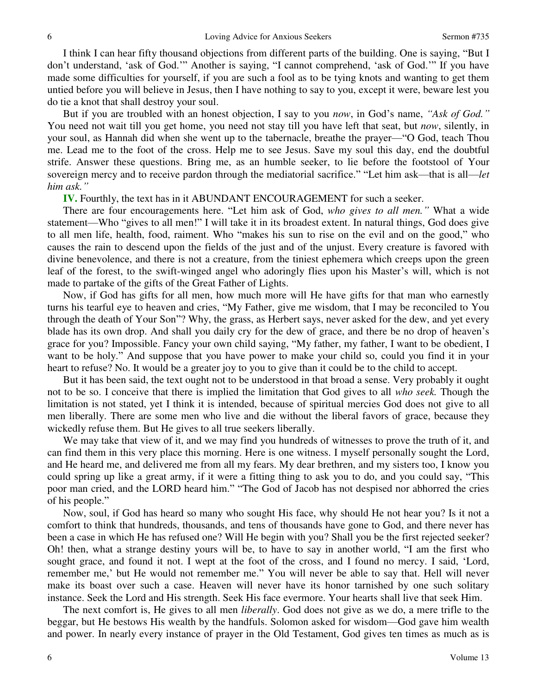I think I can hear fifty thousand objections from different parts of the building. One is saying, "But I don't understand, 'ask of God.'" Another is saying, "I cannot comprehend, 'ask of God.'" If you have made some difficulties for yourself, if you are such a fool as to be tying knots and wanting to get them untied before you will believe in Jesus, then I have nothing to say to you, except it were, beware lest you do tie a knot that shall destroy your soul.

 But if you are troubled with an honest objection, I say to you *now*, in God's name, *"Ask of God."* You need not wait till you get home, you need not stay till you have left that seat, but *now*, silently, in your soul, as Hannah did when she went up to the tabernacle, breathe the prayer—"O God, teach Thou me. Lead me to the foot of the cross. Help me to see Jesus. Save my soul this day, end the doubtful strife. Answer these questions. Bring me, as an humble seeker, to lie before the footstool of Your sovereign mercy and to receive pardon through the mediatorial sacrifice." "Let him ask—that is all—*let him ask."* 

**IV.** Fourthly, the text has in it ABUNDANT ENCOURAGEMENT for such a seeker.

 There are four encouragements here. "Let him ask of God, *who gives to all men."* What a wide statement—Who "gives to all men!" I will take it in its broadest extent. In natural things, God does give to all men life, health, food, raiment. Who "makes his sun to rise on the evil and on the good," who causes the rain to descend upon the fields of the just and of the unjust. Every creature is favored with divine benevolence, and there is not a creature, from the tiniest ephemera which creeps upon the green leaf of the forest, to the swift-winged angel who adoringly flies upon his Master's will, which is not made to partake of the gifts of the Great Father of Lights.

 Now, if God has gifts for all men, how much more will He have gifts for that man who earnestly turns his tearful eye to heaven and cries, "My Father, give me wisdom, that I may be reconciled to You through the death of Your Son"? Why, the grass, as Herbert says, never asked for the dew, and yet every blade has its own drop. And shall you daily cry for the dew of grace, and there be no drop of heaven's grace for you? Impossible. Fancy your own child saying, "My father, my father, I want to be obedient, I want to be holy." And suppose that you have power to make your child so, could you find it in your heart to refuse? No. It would be a greater joy to you to give than it could be to the child to accept.

 But it has been said, the text ought not to be understood in that broad a sense. Very probably it ought not to be so. I conceive that there is implied the limitation that God gives to all *who seek.* Though the limitation is not stated, yet I think it is intended, because of spiritual mercies God does not give to all men liberally. There are some men who live and die without the liberal favors of grace, because they wickedly refuse them. But He gives to all true seekers liberally.

We may take that view of it, and we may find you hundreds of witnesses to prove the truth of it, and can find them in this very place this morning. Here is one witness. I myself personally sought the Lord, and He heard me, and delivered me from all my fears. My dear brethren, and my sisters too, I know you could spring up like a great army, if it were a fitting thing to ask you to do, and you could say, "This poor man cried, and the LORD heard him." "The God of Jacob has not despised nor abhorred the cries of his people."

 Now, soul, if God has heard so many who sought His face, why should He not hear you? Is it not a comfort to think that hundreds, thousands, and tens of thousands have gone to God, and there never has been a case in which He has refused one? Will He begin with you? Shall you be the first rejected seeker? Oh! then, what a strange destiny yours will be, to have to say in another world, "I am the first who sought grace, and found it not. I wept at the foot of the cross, and I found no mercy. I said, 'Lord, remember me,' but He would not remember me." You will never be able to say that. Hell will never make its boast over such a case. Heaven will never have its honor tarnished by one such solitary instance. Seek the Lord and His strength. Seek His face evermore. Your hearts shall live that seek Him.

 The next comfort is, He gives to all men *liberally*. God does not give as we do, a mere trifle to the beggar, but He bestows His wealth by the handfuls. Solomon asked for wisdom—God gave him wealth and power. In nearly every instance of prayer in the Old Testament, God gives ten times as much as is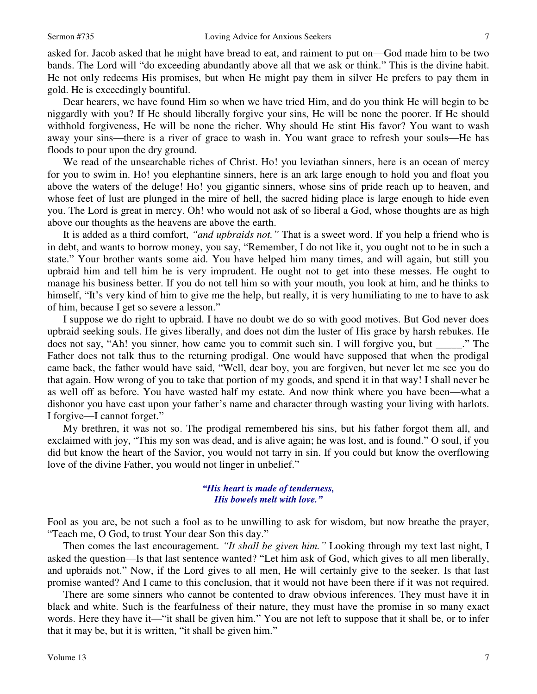asked for. Jacob asked that he might have bread to eat, and raiment to put on—God made him to be two bands. The Lord will "do exceeding abundantly above all that we ask or think." This is the divine habit. He not only redeems His promises, but when He might pay them in silver He prefers to pay them in gold. He is exceedingly bountiful.

 Dear hearers, we have found Him so when we have tried Him, and do you think He will begin to be niggardly with you? If He should liberally forgive your sins, He will be none the poorer. If He should withhold forgiveness, He will be none the richer. Why should He stint His favor? You want to wash away your sins—there is a river of grace to wash in. You want grace to refresh your souls—He has floods to pour upon the dry ground.

We read of the unsearchable riches of Christ. Ho! you leviathan sinners, here is an ocean of mercy for you to swim in. Ho! you elephantine sinners, here is an ark large enough to hold you and float you above the waters of the deluge! Ho! you gigantic sinners, whose sins of pride reach up to heaven, and whose feet of lust are plunged in the mire of hell, the sacred hiding place is large enough to hide even you. The Lord is great in mercy. Oh! who would not ask of so liberal a God, whose thoughts are as high above our thoughts as the heavens are above the earth.

 It is added as a third comfort, *"and upbraids not."* That is a sweet word. If you help a friend who is in debt, and wants to borrow money, you say, "Remember, I do not like it, you ought not to be in such a state." Your brother wants some aid. You have helped him many times, and will again, but still you upbraid him and tell him he is very imprudent. He ought not to get into these messes. He ought to manage his business better. If you do not tell him so with your mouth, you look at him, and he thinks to himself, "It's very kind of him to give me the help, but really, it is very humiliating to me to have to ask of him, because I get so severe a lesson."

 I suppose we do right to upbraid. I have no doubt we do so with good motives. But God never does upbraid seeking souls. He gives liberally, and does not dim the luster of His grace by harsh rebukes. He does not say, "Ah! you sinner, how came you to commit such sin. I will forgive you, but ..." The Father does not talk thus to the returning prodigal. One would have supposed that when the prodigal came back, the father would have said, "Well, dear boy, you are forgiven, but never let me see you do that again. How wrong of you to take that portion of my goods, and spend it in that way! I shall never be as well off as before. You have wasted half my estate. And now think where you have been—what a dishonor you have cast upon your father's name and character through wasting your living with harlots. I forgive—I cannot forget."

 My brethren, it was not so. The prodigal remembered his sins, but his father forgot them all, and exclaimed with joy, "This my son was dead, and is alive again; he was lost, and is found." O soul, if you did but know the heart of the Savior, you would not tarry in sin. If you could but know the overflowing love of the divine Father, you would not linger in unbelief."

### *"His heart is made of tenderness, His bowels melt with love."*

Fool as you are, be not such a fool as to be unwilling to ask for wisdom, but now breathe the prayer, "Teach me, O God, to trust Your dear Son this day."

 Then comes the last encouragement. *"It shall be given him."* Looking through my text last night, I asked the question—Is that last sentence wanted? "Let him ask of God, which gives to all men liberally, and upbraids not." Now, if the Lord gives to all men, He will certainly give to the seeker. Is that last promise wanted? And I came to this conclusion, that it would not have been there if it was not required.

 There are some sinners who cannot be contented to draw obvious inferences. They must have it in black and white. Such is the fearfulness of their nature, they must have the promise in so many exact words. Here they have it—"it shall be given him." You are not left to suppose that it shall be, or to infer that it may be, but it is written, "it shall be given him."